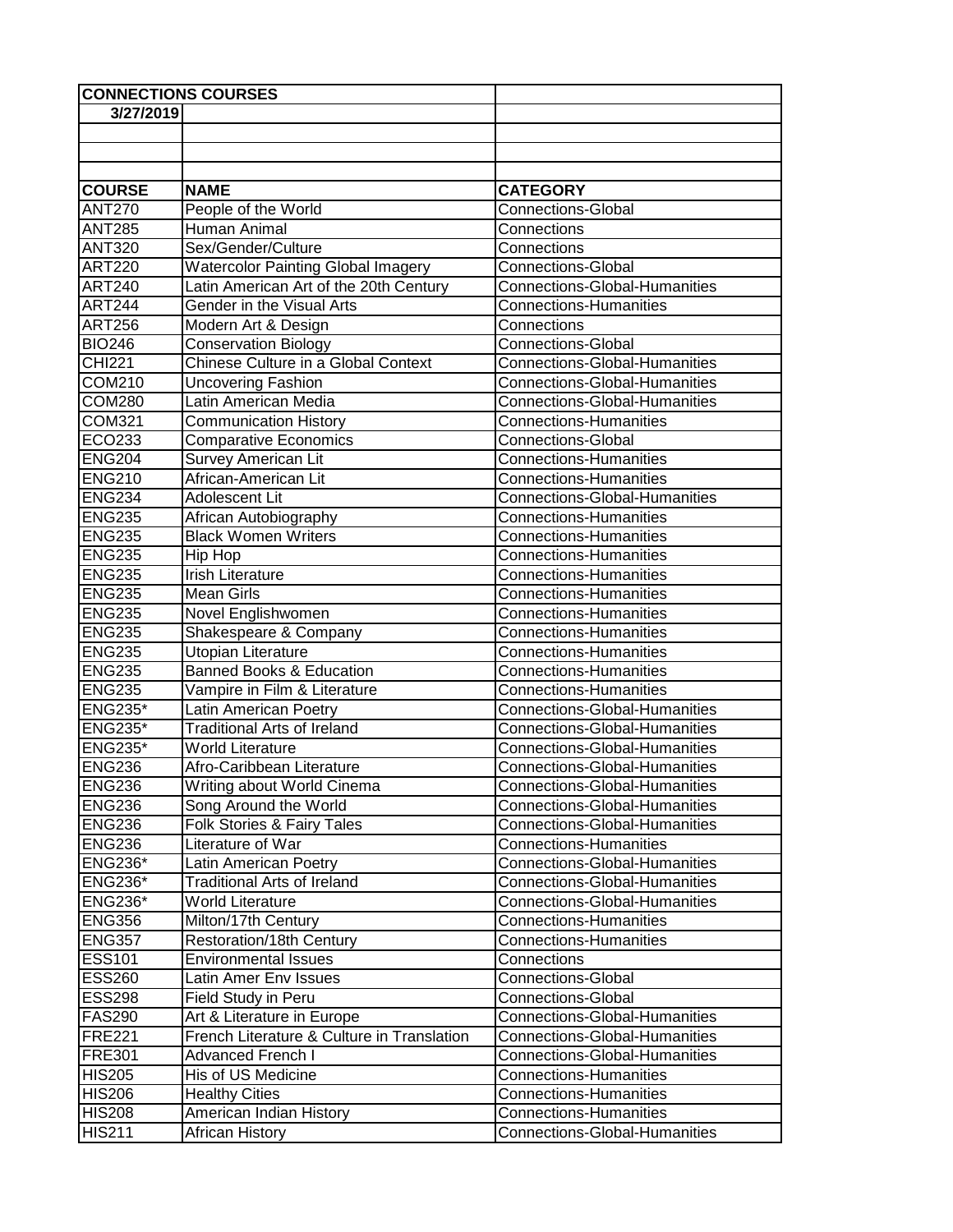| <b>CONNECTIONS COURSES</b> |                                            |                                      |
|----------------------------|--------------------------------------------|--------------------------------------|
| 3/27/2019                  |                                            |                                      |
|                            |                                            |                                      |
|                            |                                            |                                      |
|                            |                                            |                                      |
| <b>COURSE</b>              | <b>NAME</b>                                | <b>CATEGORY</b>                      |
| <b>ANT270</b>              | People of the World                        | <b>Connections-Global</b>            |
| <b>ANT285</b>              | Human Animal                               | Connections                          |
| <b>ANT320</b>              | Sex/Gender/Culture                         | Connections                          |
| <b>ART220</b>              | <b>Watercolor Painting Global Imagery</b>  | <b>Connections-Global</b>            |
| <b>ART240</b>              | Latin American Art of the 20th Century     | <b>Connections-Global-Humanities</b> |
| <b>ART244</b>              | Gender in the Visual Arts                  | <b>Connections-Humanities</b>        |
| <b>ART256</b>              | Modern Art & Design                        | Connections                          |
| <b>BIO246</b>              | <b>Conservation Biology</b>                | Connections-Global                   |
| <b>CHI221</b>              | Chinese Culture in a Global Context        | <b>Connections-Global-Humanities</b> |
| <b>COM210</b>              | Uncovering Fashion                         | <b>Connections-Global-Humanities</b> |
| <b>COM280</b>              | Latin American Media                       | <b>Connections-Global-Humanities</b> |
| COM321                     | <b>Communication History</b>               | <b>Connections-Humanities</b>        |
| ECO233                     | <b>Comparative Economics</b>               | <b>Connections-Global</b>            |
| <b>ENG204</b>              | Survey American Lit                        | <b>Connections-Humanities</b>        |
| <b>ENG210</b>              | African-American Lit                       | <b>Connections-Humanities</b>        |
| <b>ENG234</b>              | Adolescent Lit                             | <b>Connections-Global-Humanities</b> |
| <b>ENG235</b>              | African Autobiography                      | <b>Connections-Humanities</b>        |
| <b>ENG235</b>              | <b>Black Women Writers</b>                 | <b>Connections-Humanities</b>        |
| <b>ENG235</b>              | Hip Hop                                    | <b>Connections-Humanities</b>        |
| <b>ENG235</b>              | <b>Irish Literature</b>                    | <b>Connections-Humanities</b>        |
| <b>ENG235</b>              | <b>Mean Girls</b>                          | <b>Connections-Humanities</b>        |
| <b>ENG235</b>              | Novel Englishwomen                         | <b>Connections-Humanities</b>        |
| <b>ENG235</b>              | Shakespeare & Company                      | <b>Connections-Humanities</b>        |
| <b>ENG235</b>              | Utopian Literature                         | <b>Connections-Humanities</b>        |
| <b>ENG235</b>              | <b>Banned Books &amp; Education</b>        | <b>Connections-Humanities</b>        |
| <b>ENG235</b>              | Vampire in Film & Literature               | <b>Connections-Humanities</b>        |
| <b>ENG235*</b>             | Latin American Poetry                      | <b>Connections-Global-Humanities</b> |
| <b>ENG235*</b>             | <b>Traditional Arts of Ireland</b>         | <b>Connections-Global-Humanities</b> |
| <b>ENG235*</b>             | <b>World Literature</b>                    | <b>Connections-Global-Humanities</b> |
| <b>ENG236</b>              | Afro-Caribbean Literature                  | <b>Connections-Global-Humanities</b> |
| <b>ENG236</b>              | <b>Writing about World Cinema</b>          | <b>Connections-Global-Humanities</b> |
| <b>ENG236</b>              | Song Around the World                      | <b>Connections-Global-Humanities</b> |
| <b>ENG236</b>              | Folk Stories & Fairy Tales                 | <b>Connections-Global-Humanities</b> |
| <b>ENG236</b>              | Literature of War                          | <b>Connections-Humanities</b>        |
| <b>ENG236*</b>             | Latin American Poetry                      | <b>Connections-Global-Humanities</b> |
| <b>ENG236*</b>             | <b>Traditional Arts of Ireland</b>         | <b>Connections-Global-Humanities</b> |
| <b>ENG236*</b>             | <b>World Literature</b>                    | <b>Connections-Global-Humanities</b> |
| <b>ENG356</b>              | Milton/17th Century                        | <b>Connections-Humanities</b>        |
| <b>ENG357</b>              | Restoration/18th Century                   | <b>Connections-Humanities</b>        |
| <b>ESS101</b>              | <b>Environmental Issues</b>                | Connections                          |
| <b>ESS260</b>              | Latin Amer Env Issues                      | <b>Connections-Global</b>            |
| <b>ESS298</b>              | Field Study in Peru                        | <b>Connections-Global</b>            |
| <b>FAS290</b>              | Art & Literature in Europe                 | Connections-Global-Humanities        |
| <b>FRE221</b>              | French Literature & Culture in Translation | <b>Connections-Global-Humanities</b> |
| <b>FRE301</b>              | <b>Advanced French I</b>                   | <b>Connections-Global-Humanities</b> |
| <b>HIS205</b>              | His of US Medicine                         | <b>Connections-Humanities</b>        |
| <b>HIS206</b>              | <b>Healthy Cities</b>                      | <b>Connections-Humanities</b>        |
| <b>HIS208</b>              | American Indian History                    | <b>Connections-Humanities</b>        |
| <b>HIS211</b>              | African History                            | <b>Connections-Global-Humanities</b> |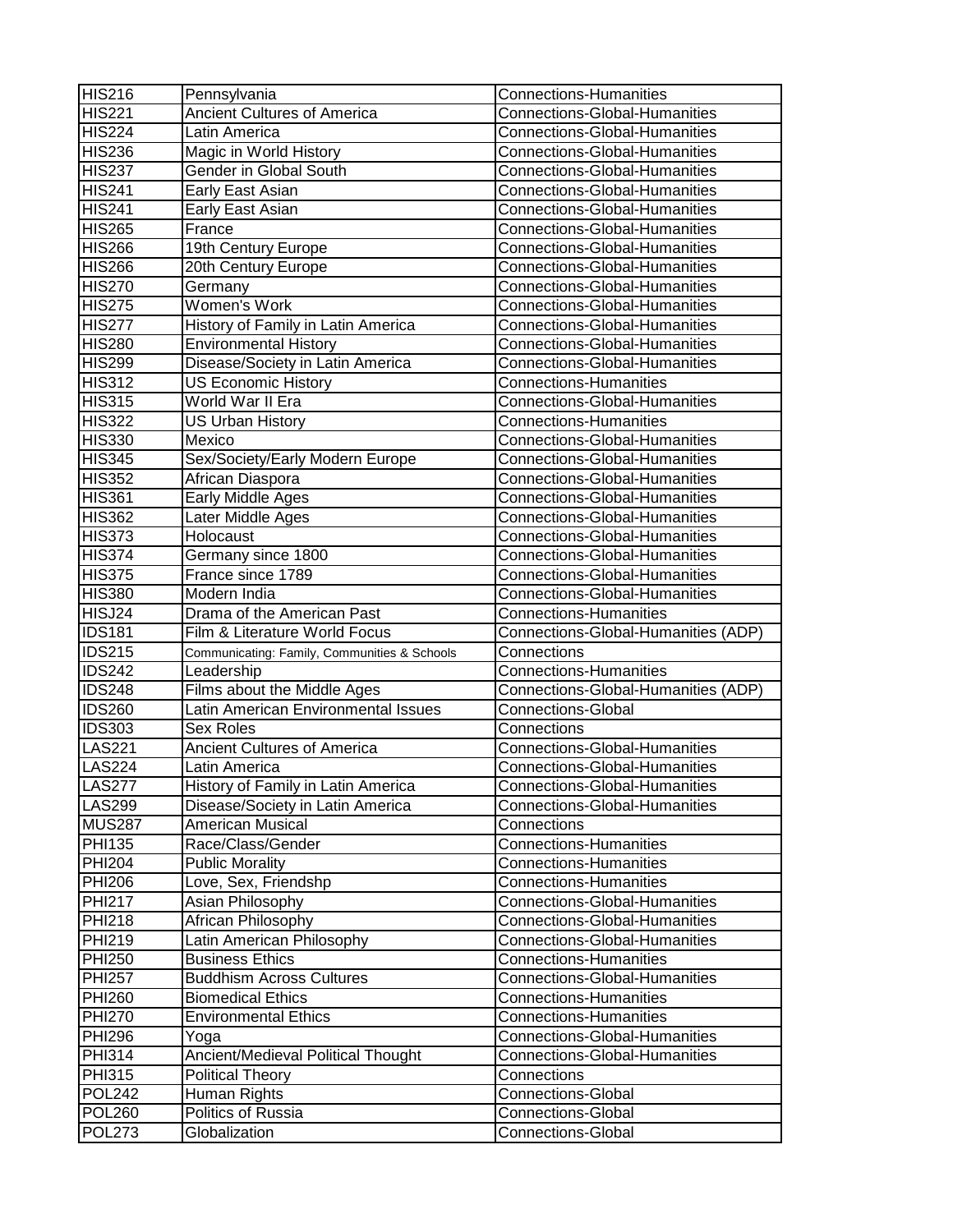| HIS216        | Pennsylvania                                 | <b>Connections-Humanities</b>        |
|---------------|----------------------------------------------|--------------------------------------|
| <b>HIS221</b> | <b>Ancient Cultures of America</b>           | Connections-Global-Humanities        |
| <b>HIS224</b> | Latin America                                | <b>Connections-Global-Humanities</b> |
| <b>HIS236</b> | Magic in World History                       | <b>Connections-Global-Humanities</b> |
| <b>HIS237</b> | Gender in Global South                       | <b>Connections-Global-Humanities</b> |
| <b>HIS241</b> | Early East Asian                             | <b>Connections-Global-Humanities</b> |
| <b>HIS241</b> | Early East Asian                             | <b>Connections-Global-Humanities</b> |
| <b>HIS265</b> | France                                       | <b>Connections-Global-Humanities</b> |
| <b>HIS266</b> | 19th Century Europe                          | <b>Connections-Global-Humanities</b> |
| <b>HIS266</b> | 20th Century Europe                          | <b>Connections-Global-Humanities</b> |
| <b>HIS270</b> | Germany                                      | <b>Connections-Global-Humanities</b> |
| HIS275        | Women's Work                                 | <b>Connections-Global-Humanities</b> |
| <b>HIS277</b> | History of Family in Latin America           | <b>Connections-Global-Humanities</b> |
| <b>HIS280</b> | <b>Environmental History</b>                 | <b>Connections-Global-Humanities</b> |
| <b>HIS299</b> | Disease/Society in Latin America             | <b>Connections-Global-Humanities</b> |
| <b>HIS312</b> | <b>US Economic History</b>                   | <b>Connections-Humanities</b>        |
| <b>HIS315</b> | World War II Era                             | <b>Connections-Global-Humanities</b> |
| <b>HIS322</b> | <b>US Urban History</b>                      | <b>Connections-Humanities</b>        |
| <b>HIS330</b> | Mexico                                       | <b>Connections-Global-Humanities</b> |
| <b>HIS345</b> | Sex/Society/Early Modern Europe              | <b>Connections-Global-Humanities</b> |
| <b>HIS352</b> | African Diaspora                             | <b>Connections-Global-Humanities</b> |
| <b>HIS361</b> | Early Middle Ages                            | <b>Connections-Global-Humanities</b> |
| <b>HIS362</b> | Later Middle Ages                            | <b>Connections-Global-Humanities</b> |
| <b>HIS373</b> | Holocaust                                    | <b>Connections-Global-Humanities</b> |
| <b>HIS374</b> | Germany since 1800                           | <b>Connections-Global-Humanities</b> |
| HIS375        | France since 1789                            | <b>Connections-Global-Humanities</b> |
| <b>HIS380</b> | Modern India                                 | <b>Connections-Global-Humanities</b> |
| HISJ24        | Drama of the American Past                   | <b>Connections-Humanities</b>        |
| <b>IDS181</b> | Film & Literature World Focus                | Connections-Global-Humanities (ADP)  |
| <b>IDS215</b> | Communicating: Family, Communities & Schools | Connections                          |
| <b>IDS242</b> | Leadership                                   | <b>Connections-Humanities</b>        |
| <b>IDS248</b> | Films about the Middle Ages                  | Connections-Global-Humanities (ADP)  |
| <b>IDS260</b> | Latin American Environmental Issues          | <b>Connections-Global</b>            |
| <b>IDS303</b> | <b>Sex Roles</b>                             | Connections                          |
| <b>LAS221</b> | Ancient Cultures of America                  | <b>Connections-Global-Humanities</b> |
| <b>LAS224</b> | Latin America                                | <b>Connections-Global-Humanities</b> |
| <b>LAS277</b> | History of Family in Latin America           | <b>Connections-Global-Humanities</b> |
| <b>LAS299</b> | Disease/Society in Latin America             | <b>Connections-Global-Humanities</b> |
| <b>MUS287</b> | American Musical                             | Connections                          |
| PHI135        | Race/Class/Gender                            | <b>Connections-Humanities</b>        |
| <b>PHI204</b> | <b>Public Morality</b>                       | <b>Connections-Humanities</b>        |
| <b>PHI206</b> | Love, Sex, Friendshp                         | <b>Connections-Humanities</b>        |
| <b>PHI217</b> | Asian Philosophy                             | <b>Connections-Global-Humanities</b> |
| <b>PHI218</b> | African Philosophy                           | <b>Connections-Global-Humanities</b> |
| PHI219        | Latin American Philosophy                    | <b>Connections-Global-Humanities</b> |
| <b>PHI250</b> | <b>Business Ethics</b>                       | <b>Connections-Humanities</b>        |
| PHI257        | <b>Buddhism Across Cultures</b>              | <b>Connections-Global-Humanities</b> |
| <b>PHI260</b> | <b>Biomedical Ethics</b>                     | <b>Connections-Humanities</b>        |
| <b>PHI270</b> | <b>Environmental Ethics</b>                  | <b>Connections-Humanities</b>        |
| <b>PHI296</b> | Yoga                                         | <b>Connections-Global-Humanities</b> |
| <b>PHI314</b> | Ancient/Medieval Political Thought           | <b>Connections-Global-Humanities</b> |
| <b>PHI315</b> | <b>Political Theory</b>                      | Connections                          |
| <b>POL242</b> | Human Rights                                 | <b>Connections-Global</b>            |
| <b>POL260</b> | Politics of Russia                           | <b>Connections-Global</b>            |
| <b>POL273</b> | Globalization                                | <b>Connections-Global</b>            |
|               |                                              |                                      |